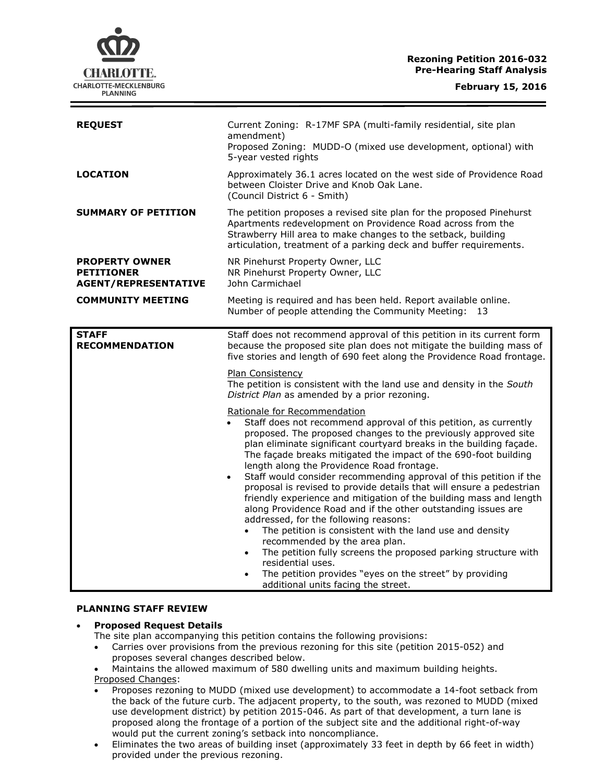# **Rezoning Petition 2016-032 Pre-Hearing Staff Analysis**



| <b>REQUEST</b>                                                            | Current Zoning: R-17MF SPA (multi-family residential, site plan<br>amendment)<br>Proposed Zoning: MUDD-O (mixed use development, optional) with<br>5-year vested rights                                                                                                                                                                                                                                                                                                                                                                                                                                                                                                                                                                                                                                                                                                                                                                                                                                                                                                |
|---------------------------------------------------------------------------|------------------------------------------------------------------------------------------------------------------------------------------------------------------------------------------------------------------------------------------------------------------------------------------------------------------------------------------------------------------------------------------------------------------------------------------------------------------------------------------------------------------------------------------------------------------------------------------------------------------------------------------------------------------------------------------------------------------------------------------------------------------------------------------------------------------------------------------------------------------------------------------------------------------------------------------------------------------------------------------------------------------------------------------------------------------------|
| LOCATION                                                                  | Approximately 36.1 acres located on the west side of Providence Road<br>between Cloister Drive and Knob Oak Lane.<br>(Council District 6 - Smith)                                                                                                                                                                                                                                                                                                                                                                                                                                                                                                                                                                                                                                                                                                                                                                                                                                                                                                                      |
| <b>SUMMARY OF PETITION</b>                                                | The petition proposes a revised site plan for the proposed Pinehurst<br>Apartments redevelopment on Providence Road across from the<br>Strawberry Hill area to make changes to the setback, building<br>articulation, treatment of a parking deck and buffer requirements.                                                                                                                                                                                                                                                                                                                                                                                                                                                                                                                                                                                                                                                                                                                                                                                             |
| <b>PROPERTY OWNER</b><br><b>PETITIONER</b><br><b>AGENT/REPRESENTATIVE</b> | NR Pinehurst Property Owner, LLC<br>NR Pinehurst Property Owner, LLC<br>John Carmichael                                                                                                                                                                                                                                                                                                                                                                                                                                                                                                                                                                                                                                                                                                                                                                                                                                                                                                                                                                                |
| <b>COMMUNITY MEETING</b>                                                  | Meeting is required and has been held. Report available online.<br>Number of people attending the Community Meeting:<br>13                                                                                                                                                                                                                                                                                                                                                                                                                                                                                                                                                                                                                                                                                                                                                                                                                                                                                                                                             |
| <b>STAFF</b><br><b>RECOMMENDATION</b>                                     | Staff does not recommend approval of this petition in its current form<br>because the proposed site plan does not mitigate the building mass of<br>five stories and length of 690 feet along the Providence Road frontage.<br><b>Plan Consistency</b><br>The petition is consistent with the land use and density in the South                                                                                                                                                                                                                                                                                                                                                                                                                                                                                                                                                                                                                                                                                                                                         |
|                                                                           | District Plan as amended by a prior rezoning.<br>Rationale for Recommendation<br>Staff does not recommend approval of this petition, as currently<br>proposed. The proposed changes to the previously approved site<br>plan eliminate significant courtyard breaks in the building façade.<br>The façade breaks mitigated the impact of the 690-foot building<br>length along the Providence Road frontage.<br>Staff would consider recommending approval of this petition if the<br>$\bullet$<br>proposal is revised to provide details that will ensure a pedestrian<br>friendly experience and mitigation of the building mass and length<br>along Providence Road and if the other outstanding issues are<br>addressed, for the following reasons:<br>The petition is consistent with the land use and density<br>$\bullet$<br>recommended by the area plan.<br>The petition fully screens the proposed parking structure with<br>residential uses.<br>The petition provides "eyes on the street" by providing<br>$\bullet$<br>additional units facing the street. |

#### **PLANNING STAFF REVIEW**

### **Proposed Request Details**

The site plan accompanying this petition contains the following provisions:

- Carries over provisions from the previous rezoning for this site (petition 2015-052) and proposes several changes described below.
- Maintains the allowed maximum of 580 dwelling units and maximum building heights.
- Proposed Changes:
- Proposes rezoning to MUDD (mixed use development) to accommodate a 14-foot setback from the back of the future curb. The adjacent property, to the south, was rezoned to MUDD (mixed use development district) by petition 2015-046. As part of that development, a turn lane is proposed along the frontage of a portion of the subject site and the additional right-of-way would put the current zoning's setback into noncompliance.
- Eliminates the two areas of building inset (approximately 33 feet in depth by 66 feet in width) provided under the previous rezoning.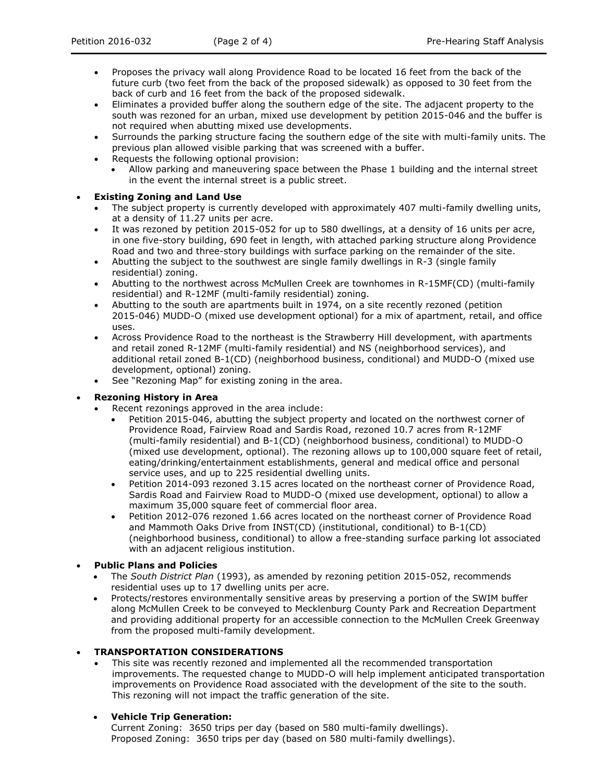- Proposes the privacy wall along Providence Road to be located 16 feet from the back of the future curb (two feet from the back of the proposed sidewalk) as opposed to 30 feet from the back of curb and 16 feet from the back of the proposed sidewalk.
- Eliminates a provided buffer along the southern edge of the site. The adjacent property to the south was rezoned for an urban, mixed use development by petition 2015-046 and the buffer is not required when abutting mixed use developments.
- Surrounds the parking structure facing the southern edge of the site with multi-family units. The previous plan allowed visible parking that was screened with a buffer.
- Requests the following optional provision:
	- Allow parking and maneuvering space between the Phase 1 building and the internal street in the event the internal street is a public street.

## **Existing Zoning and Land Use**

- The subject property is currently developed with approximately 407 multi-family dwelling units, at a density of 11.27 units per acre.
- It was rezoned by petition 2015-052 for up to 580 dwellings, at a density of 16 units per acre, in one five-story building, 690 feet in length, with attached parking structure along Providence Road and two and three-story buildings with surface parking on the remainder of the site.
- Abutting the subject to the southwest are single family dwellings in R-3 (single family residential) zoning.
- Abutting to the northwest across McMullen Creek are townhomes in R-15MF(CD) (multi-family residential) and R-12MF (multi-family residential) zoning.
- Abutting to the south are apartments built in 1974, on a site recently rezoned (petition 2015-046) MUDD-O (mixed use development optional) for a mix of apartment, retail, and office uses.
- Across Providence Road to the northeast is the Strawberry Hill development, with apartments and retail zoned R-12MF (multi-family residential) and NS (neighborhood services), and additional retail zoned B-1(CD) (neighborhood business, conditional) and MUDD-O (mixed use development, optional) zoning.
- See "Rezoning Map" for existing zoning in the area.

## **Rezoning History in Area**

- Recent rezonings approved in the area include:
	- Petition 2015-046, abutting the subject property and located on the northwest corner of Providence Road, Fairview Road and Sardis Road, rezoned 10.7 acres from R-12MF (multi-family residential) and B-1(CD) (neighborhood business, conditional) to MUDD-O (mixed use development, optional). The rezoning allows up to 100,000 square feet of retail, eating/drinking/entertainment establishments, general and medical office and personal service uses, and up to 225 residential dwelling units.
	- Petition 2014-093 rezoned 3.15 acres located on the northeast corner of Providence Road, Sardis Road and Fairview Road to MUDD-O (mixed use development, optional) to allow a maximum 35,000 square feet of commercial floor area.
	- Petition 2012-076 rezoned 1.66 acres located on the northeast corner of Providence Road and Mammoth Oaks Drive from INST(CD) (institutional, conditional) to B-1(CD) (neighborhood business, conditional) to allow a free-standing surface parking lot associated with an adjacent religious institution.
- **Public Plans and Policies**
	- The *South District Plan* (1993), as amended by rezoning petition 2015-052, recommends residential uses up to 17 dwelling units per acre.
	- Protects/restores environmentally sensitive areas by preserving a portion of the SWIM buffer along McMullen Creek to be conveyed to Mecklenburg County Park and Recreation Department and providing additional property for an accessible connection to the McMullen Creek Greenway from the proposed multi-family development.

### **TRANSPORTATION CONSIDERATIONS**

 This site was recently rezoned and implemented all the recommended transportation improvements. The requested change to MUDD-O will help implement anticipated transportation improvements on Providence Road associated with the development of the site to the south. This rezoning will not impact the traffic generation of the site.

## **Vehicle Trip Generation:**

Current Zoning: 3650 trips per day (based on 580 multi-family dwellings). Proposed Zoning: 3650 trips per day (based on 580 multi-family dwellings).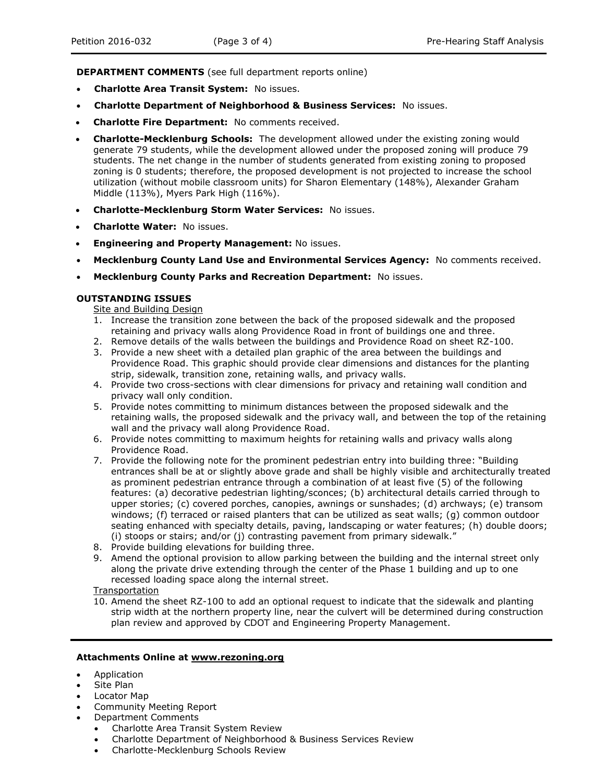**DEPARTMENT COMMENTS** (see full department reports online)

- **Charlotte Area Transit System:** No issues.
- **Charlotte Department of Neighborhood & Business Services:** No issues.
- **Charlotte Fire Department:** No comments received.
- **Charlotte-Mecklenburg Schools:** The development allowed under the existing zoning would generate 79 students, while the development allowed under the proposed zoning will produce 79 students. The net change in the number of students generated from existing zoning to proposed zoning is 0 students; therefore, the proposed development is not projected to increase the school utilization (without mobile classroom units) for Sharon Elementary (148%), Alexander Graham Middle (113%), Myers Park High (116%).
- **Charlotte-Mecklenburg Storm Water Services:** No issues.
- **Charlotte Water:** No issues.
- **Engineering and Property Management:** No issues.
- **Mecklenburg County Land Use and Environmental Services Agency:** No comments received.
- **Mecklenburg County Parks and Recreation Department:** No issues.

### **OUTSTANDING ISSUES**

Site and Building Design

- 1. Increase the transition zone between the back of the proposed sidewalk and the proposed retaining and privacy walls along Providence Road in front of buildings one and three.
- 2. Remove details of the walls between the buildings and Providence Road on sheet RZ-100.
- 3. Provide a new sheet with a detailed plan graphic of the area between the buildings and Providence Road. This graphic should provide clear dimensions and distances for the planting strip, sidewalk, transition zone, retaining walls, and privacy walls.
- 4. Provide two cross-sections with clear dimensions for privacy and retaining wall condition and privacy wall only condition.
- 5. Provide notes committing to minimum distances between the proposed sidewalk and the retaining walls, the proposed sidewalk and the privacy wall, and between the top of the retaining wall and the privacy wall along Providence Road.
- 6. Provide notes committing to maximum heights for retaining walls and privacy walls along Providence Road.
- 7. Provide the following note for the prominent pedestrian entry into building three: "Building entrances shall be at or slightly above grade and shall be highly visible and architecturally treated as prominent pedestrian entrance through a combination of at least five (5) of the following features: (a) decorative pedestrian lighting/sconces; (b) architectural details carried through to upper stories; (c) covered porches, canopies, awnings or sunshades; (d) archways; (e) transom windows; (f) terraced or raised planters that can be utilized as seat walls; (g) common outdoor seating enhanced with specialty details, paving, landscaping or water features; (h) double doors; (i) stoops or stairs; and/or (j) contrasting pavement from primary sidewalk."
- 8. Provide building elevations for building three.
- 9. Amend the optional provision to allow parking between the building and the internal street only along the private drive extending through the center of the Phase 1 building and up to one recessed loading space along the internal street.
- Transportation
- 10. Amend the sheet RZ-100 to add an optional request to indicate that the sidewalk and planting strip width at the northern property line, near the culvert will be determined during construction plan review and approved by CDOT and Engineering Property Management.

#### **Attachments Online at www.rezoning.org**

- Application
- Site Plan
- Locator Map
- Community Meeting Report
- Department Comments
	- Charlotte Area Transit System Review
	- Charlotte Department of Neighborhood & Business Services Review
	- Charlotte-Mecklenburg Schools Review